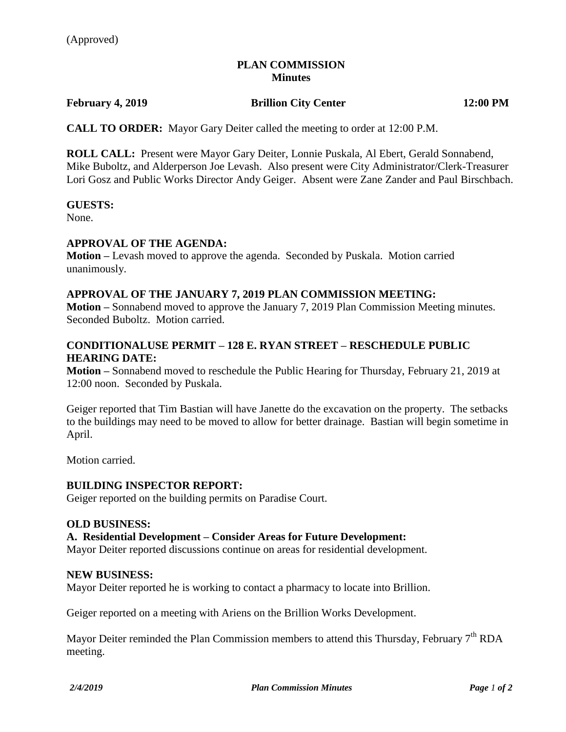# **PLAN COMMISSION Minutes**

# **February 4, 2019 Brillion City Center 12:00 PM**

**CALL TO ORDER:** Mayor Gary Deiter called the meeting to order at 12:00 P.M.

**ROLL CALL:** Present were Mayor Gary Deiter, Lonnie Puskala, Al Ebert, Gerald Sonnabend, Mike Buboltz, and Alderperson Joe Levash. Also present were City Administrator/Clerk-Treasurer Lori Gosz and Public Works Director Andy Geiger. Absent were Zane Zander and Paul Birschbach.

### **GUESTS:**

None.

# **APPROVAL OF THE AGENDA:**

**Motion –** Levash moved to approve the agenda. Seconded by Puskala. Motion carried unanimously.

### **APPROVAL OF THE JANUARY 7, 2019 PLAN COMMISSION MEETING:**

**Motion –** Sonnabend moved to approve the January 7, 2019 Plan Commission Meeting minutes. Seconded Buboltz. Motion carried.

# **CONDITIONALUSE PERMIT – 128 E. RYAN STREET – RESCHEDULE PUBLIC HEARING DATE:**

**Motion –** Sonnabend moved to reschedule the Public Hearing for Thursday, February 21, 2019 at 12:00 noon. Seconded by Puskala.

Geiger reported that Tim Bastian will have Janette do the excavation on the property. The setbacks to the buildings may need to be moved to allow for better drainage. Bastian will begin sometime in April.

Motion carried.

# **BUILDING INSPECTOR REPORT:**

Geiger reported on the building permits on Paradise Court.

#### **OLD BUSINESS:**

#### **A. Residential Development – Consider Areas for Future Development:**

Mayor Deiter reported discussions continue on areas for residential development.

### **NEW BUSINESS:**

Mayor Deiter reported he is working to contact a pharmacy to locate into Brillion.

Geiger reported on a meeting with Ariens on the Brillion Works Development.

Mayor Deiter reminded the Plan Commission members to attend this Thursday, February  $7<sup>th</sup> RDA$ meeting.